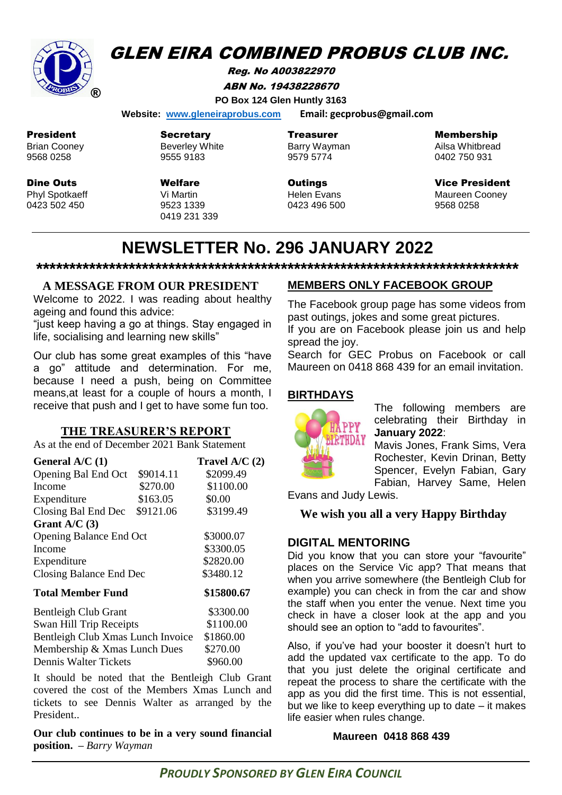

# **GLEN EIRA COMBINED PROBUS CLUB INC.**

Reg. No A003822970 ABN No. 19438228670 **PO Box 124 Glen Huntly 3163**

 **Website: [www.gleneiraprobus.com](http://www.gleneiraprobus.com/) Email: gecprobus@gmail.com**

President Brian Cooney

9568 0258

Dine Outs Phyl Spotkaeff 0423 502 450

Secretary Beverley White 9555 9183

Welfare Vi Martin 9523 1339 0419 231 339 Treasurer Barry Wayman 9579 5774

**Outings** Helen Evans 0423 496 500 Membership

Ailsa Whitbread 0402 750 931

Vice President Maureen Cooney 9568 0258

# **NEWSLETTER No. 296 JANUARY 2022**

**\*\*\*\*\*\*\*\*\*\*\*\*\*\*\*\*\*\*\*\*\*\*\*\*\*\*\*\*\*\*\*\*\*\*\*\*\*\*\*\*\*\*\*\*\*\*\*\*\*\*\*\*\*\*\*\*\*\*\*\*\*\*\*\*\*\*\*\*\*\*\*\*\***

# **A MESSAGE FROM OUR PRESIDENT**

Welcome to 2022. I was reading about healthy ageing and found this advice:

"just keep having a go at things. Stay engaged in life, socialising and learning new skills"

Our club has some great examples of this "have a go" attitude and determination. For me, because I need a push, being on Committee means, at least for a couple of hours a month, I receive that push and I get to have some fun too.

#### **THE TREASURER'S REPORT**

As at the end of December 2021 Bank Statement

| General $A/C(1)$                  |           | Travel $A/C(2)$ |
|-----------------------------------|-----------|-----------------|
| Opening Bal End Oct               | \$9014.11 | \$2099.49       |
| Income                            | \$270.00  | \$1100.00       |
| Expenditure                       | \$163.05  | \$0.00          |
| Closing Bal End Dec               | \$9121.06 | \$3199.49       |
| Grant $A/C(3)$                    |           |                 |
| <b>Opening Balance End Oct</b>    |           | \$3000.07       |
| Income                            |           | \$3300.05       |
| Expenditure                       |           | \$2820.00       |
| Closing Balance End Dec           |           | \$3480.12       |
| Total Member Fund                 |           | \$15800.67      |
| <b>Bentleigh Club Grant</b>       |           | \$3300.00       |
| Swan Hill Trip Receipts           |           | \$1100.00       |
| Bentleigh Club Xmas Lunch Invoice |           | \$1860.00       |
| Membership & Xmas Lunch Dues      |           | \$270.00        |
| Dennis Walter Tickets             |           | \$960.00        |

It should be noted that the Bentleigh Club Grant covered the cost of the Members Xmas Lunch and tickets to see Dennis Walter as arranged by the President..

**Our club continues to be in a very sound financial position. –** *Barry Wayman*

# **MEMBERS ONLY FACEBOOK GROUP**

The Facebook group page has some videos from past outings, jokes and some great pictures.

If you are on Facebook please join us and help spread the joy.

Search for GEC Probus on Facebook or call Maureen on 0418 868 439 for an email invitation.

#### **BIRTHDAYS**



The following members are celebrating their Birthday in **January 2022**:

Mavis Jones, Frank Sims, Vera Rochester, Kevin Drinan, Betty Spencer, Evelyn Fabian, Gary Fabian, Harvey Same, Helen

Evans and Judy Lewis.

### **We wish you all a very Happy Birthday**

### **DIGITAL MENTORING**

Did you know that you can store your "favourite" places on the Service Vic app? That means that when you arrive somewhere (the Bentleigh Club for example) you can check in from the car and show the staff when you enter the venue. Next time you check in have a closer look at the app and you should see an option to "add to favourites".

Also, if you've had your booster it doesn't hurt to add the updated vax certificate to the app. To do that you just delete the original certificate and repeat the process to share the certificate with the app as you did the first time. This is not essential, but we like to keep everything up to date – it makes life easier when rules change.

#### **Maureen 0418 868 439**